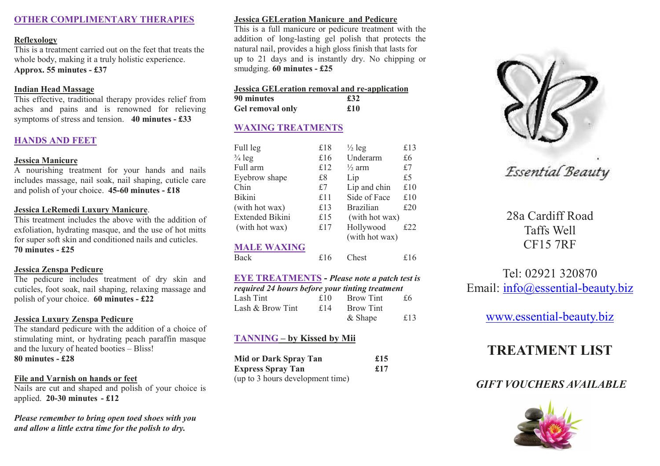# **OTHER COMPLIMENTARY THERAPIES**

#### **Reflexology**

 This is a treatment carried out on the feet that treats the whole body, making it a truly holistic experience. **Approx. 55 minutes - £37** 

## **Indian Head Massage**

 This effective, traditional therapy provides relief from aches and pains and is renowned for relieving symptoms of stress and tension. **40 minutes - £33** 

# **HANDS AND FEET**

### **Jessica Manicure**

 A nourishing treatment for your hands and nails includes massage, nail soak, nail shaping, cuticle care and polish of your choice. **45-60 minutes - £18** 

### **Jessica LeRemedi Luxury Manicure**.

 This treatment includes the above with the addition of exfoliation, hydrating masque, and the use of hot mitts for super soft skin and conditioned nails and cuticles. **70 minutes - £25**

# **Jessica Zenspa Pedicure**

 The pedicure includes treatment of dry skin and cuticles, foot soak, nail shaping, relaxing massage and polish of your choice. **60 minutes - £22** 

# **Jessica Luxury Zenspa Pedicure**

 The standard pedicure with the addition of a choice of stimulating mint, or hydrating peach paraffin masque and the luxury of heated booties – Bliss! **80 minutes - £28** 

# **File and Varnish on hands or feet**

 Nails are cut and shaped and polish of your choice is applied. **20-30 minutes - £12** 

*Please remember to bring open toed shoes with you and allow a little extra time for the polish to dry.* 

# **Jessica GELeration Manicure and Pedicure**

 This is a full manicure or pedicure treatment with the addition of long-lasting gel polish that protects the natural nail, provides a high gloss finish that lasts for up to 21 days and is instantly dry. No chipping or smudging. **60 minutes - £25** 

## **Jessica GELeration removal and re-application**

| 90 minutes       | £32 |
|------------------|-----|
| Gel removal only | £10 |

# **WAXING TREATMENTS**

| Full leg               | £18 | $\frac{1}{2}$ leg           | £13 |
|------------------------|-----|-----------------------------|-----|
| $\frac{3}{4}$ leg      | £16 | Underarm                    | £6  |
| Full arm               | £12 | $\frac{1}{2}$ arm           | £7  |
| Eyebrow shape          | £8  | Lip                         | £5  |
| Chin                   | £7  | Lip and chin                | £10 |
| Bikini                 | £11 | Side of Face                | £10 |
| (with hot wax)         | £13 | <b>Brazilian</b>            | £20 |
| <b>Extended Bikini</b> | £15 | (with hot wax)              |     |
| (with hot wax)         | £17 | Hollywood<br>(with hot wax) | £22 |
| <b>MALE WAXING</b>     |     |                             |     |
| Back                   | £16 | Chest                       | £16 |
|                        |     |                             |     |

#### **EYE TREATMENTS -** *Please note a patch test is required 24 hours before your tinting treatment*Lash Tint  $f10$  Brow Tint  $f6$ Lash & Brow Tint  $f14$  Brow Tint

| $\frac{15}{11}$ as DIVW THIL | ⊥ I + | $DIOW$ THIL |     |
|------------------------------|-------|-------------|-----|
|                              |       | $&$ Shape   | £13 |

# **TANNING – by Kissed by Mii**

| <b>Mid or Dark Spray Tan</b>     | £15 |
|----------------------------------|-----|
| <b>Express Spray Tan</b>         | £17 |
| (up to 3 hours development time) |     |



Essential Beauty

28a Cardiff Road Taffs Well CF15 7RF

# Tel: 02921 320870 Email: info@essential-beauty.biz

# www.essential-beauty.biz

# **TREATMENT LIST**

# *GIFT VOUCHERS AVAILABLE*